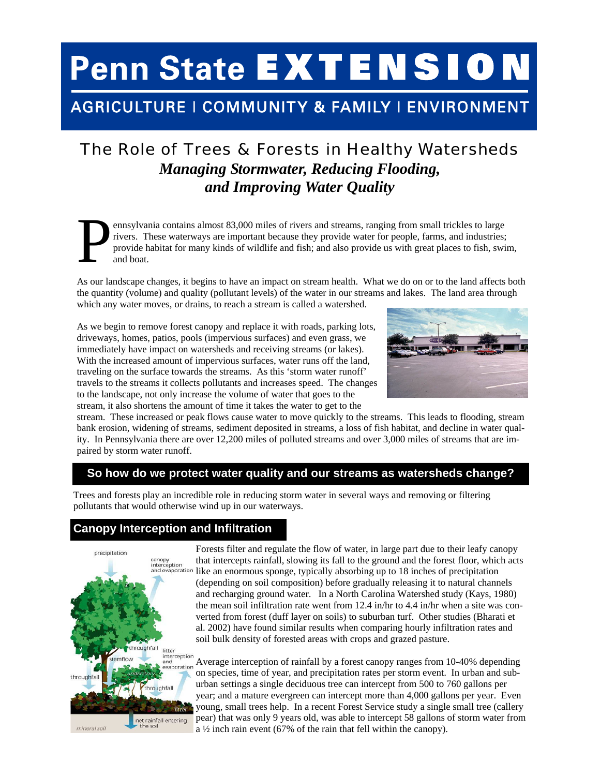# **Penn State EXTENSION**

## AGRICULTURE | COMMUNITY & FAMILY | ENVIRONMENT

## The Role of Trees & Forests in Healthy Watersheds *Managing Stormwater, Reducing Flooding, and Improving Water Quality*

ennsylvania contains almost 83,000 miles of rivers and streams, ranging from small trickles to large rivers. These waterways are important because they provide water for people, farms, and industries; provide habitat for many kinds of wildlife and fish; and also provide us with great places to fish, swim, and boat.

As our landscape changes, it begins to have an impact on stream health. What we do on or to the land affects both the quantity (volume) and quality (pollutant levels) of the water in our streams and lakes. The land area through which any water moves, or drains, to reach a stream is called a watershed.

As we begin to remove forest canopy and replace it with roads, parking lots, driveways, homes, patios, pools (impervious surfaces) and even grass, we immediately have impact on watersheds and receiving streams (or lakes). With the increased amount of impervious surfaces, water runs off the land, traveling on the surface towards the streams. As this 'storm water runoff' travels to the streams it collects pollutants and increases speed. The changes to the landscape, not only increase the volume of water that goes to the stream, it also shortens the amount of time it takes the water to get to the



stream. These increased or peak flows cause water to move quickly to the streams. This leads to flooding, stream bank erosion, widening of streams, sediment deposited in streams, a loss of fish habitat, and decline in water quality. In Pennsylvania there are over 12,200 miles of polluted streams and over 3,000 miles of streams that are impaired by storm water runoff.

#### **So how do we protect water quality and our streams as watersheds change?**

Trees and forests play an incredible role in reducing storm water in several ways and removing or filtering pollutants that would otherwise wind up in our waterways.

### **Canopy Interception and Infiltration**



Forests filter and regulate the flow of water, in large part due to their leafy canopy that intercepts rainfall, slowing its fall to the ground and the forest floor, which acts like an enormous sponge, typically absorbing up to 18 inches of precipitation (depending on soil composition) before gradually releasing it to natural channels and recharging ground water. In a North Carolina Watershed study (Kays, 1980) the mean soil infiltration rate went from 12.4 in/hr to 4.4 in/hr when a site was converted from forest (duff layer on soils) to suburban turf. Other studies (Bharati et al. 2002) have found similar results when comparing hourly infiltration rates and soil bulk density of forested areas with crops and grazed pasture.

Average interception of rainfall by a forest canopy ranges from 10-40% depending on species, time of year, and precipitation rates per storm event. In urban and suburban settings a single deciduous tree can intercept from 500 to 760 gallons per year; and a mature evergreen can intercept more than 4,000 gallons per year. Even young, small trees help. In a recent Forest Service study a single small tree (callery pear) that was only 9 years old, was able to intercept 58 gallons of storm water from a ½ inch rain event (67% of the rain that fell within the canopy).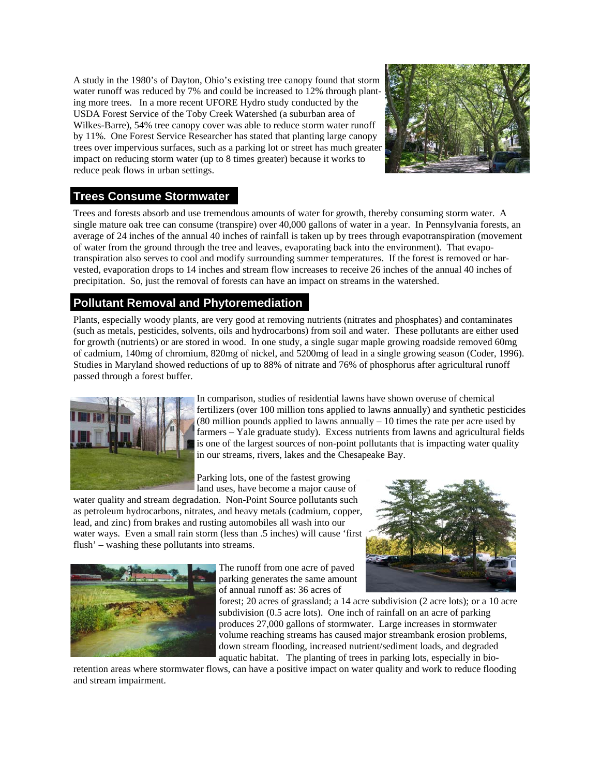A study in the 1980's of Dayton, Ohio's existing tree canopy found that storm water runoff was reduced by 7% and could be increased to 12% through planting more trees. In a more recent UFORE Hydro study conducted by the USDA Forest Service of the Toby Creek Watershed (a suburban area of Wilkes-Barre), 54% tree canopy cover was able to reduce storm water runoff by 11%. One Forest Service Researcher has stated that planting large canopy trees over impervious surfaces, such as a parking lot or street has much greater impact on reducing storm water (up to 8 times greater) because it works to reduce peak flows in urban settings.



#### **Trees Consume Stormwater**

Trees and forests absorb and use tremendous amounts of water for growth, thereby consuming storm water. A single mature oak tree can consume (transpire) over 40,000 gallons of water in a year. In Pennsylvania forests, an average of 24 inches of the annual 40 inches of rainfall is taken up by trees through evapotranspiration (movement of water from the ground through the tree and leaves, evaporating back into the environment). That evapotranspiration also serves to cool and modify surrounding summer temperatures. If the forest is removed or harvested, evaporation drops to 14 inches and stream flow increases to receive 26 inches of the annual 40 inches of precipitation. So, just the removal of forests can have an impact on streams in the watershed.

#### **Pollutant Removal and Phytoremediation**

Plants, especially woody plants, are very good at removing nutrients (nitrates and phosphates) and contaminates (such as metals, pesticides, solvents, oils and hydrocarbons) from soil and water. These pollutants are either used for growth (nutrients) or are stored in wood. In one study, a single sugar maple growing roadside removed 60mg of cadmium, 140mg of chromium, 820mg of nickel, and 5200mg of lead in a single growing season (Coder, 1996). Studies in Maryland showed reductions of up to 88% of nitrate and 76% of phosphorus after agricultural runoff passed through a forest buffer.



In comparison, studies of residential lawns have shown overuse of chemical fertilizers (over 100 million tons applied to lawns annually) and synthetic pesticides  $(80 \text{ million pounds applied to laws annually} - 10 \text{ times the rate per acre used by})$ farmers – Yale graduate study). Excess nutrients from lawns and agricultural fields is one of the largest sources of non-point pollutants that is impacting water quality in our streams, rivers, lakes and the Chesapeake Bay.

Parking lots, one of the fastest growing land uses, have become a major cause of

water quality and stream degradation. Non-Point Source pollutants such as petroleum hydrocarbons, nitrates, and heavy metals (cadmium, copper, lead, and zinc) from brakes and rusting automobiles all wash into our water ways. Even a small rain storm (less than .5 inches) will cause 'first flush' – washing these pollutants into streams.



The runoff from one acre of paved parking generates the same amount of annual runoff as: 36 acres of



forest; 20 acres of grassland; a 14 acre subdivision (2 acre lots); or a 10 acre subdivision (0.5 acre lots). One inch of rainfall on an acre of parking produces 27,000 gallons of stormwater. Large increases in stormwater volume reaching streams has caused major streambank erosion problems, down stream flooding, increased nutrient/sediment loads, and degraded aquatic habitat. The planting of trees in parking lots, especially in bio-

retention areas where stormwater flows, can have a positive impact on water quality and work to reduce flooding and stream impairment.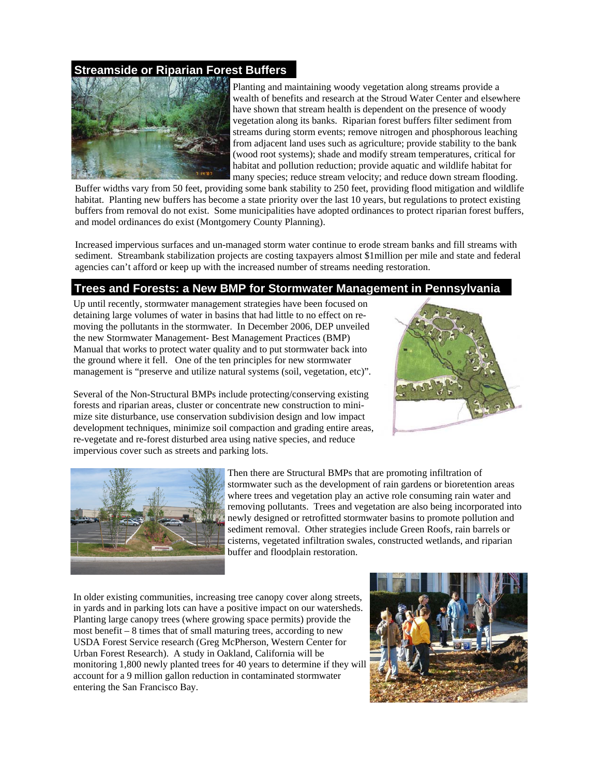#### **Streamside or Riparian Forest Buffers**



Planting and maintaining woody vegetation along streams provide a wealth of benefits and research at the Stroud Water Center and elsewhere have shown that stream health is dependent on the presence of woody vegetation along its banks. Riparian forest buffers filter sediment from streams during storm events; remove nitrogen and phosphorous leaching from adjacent land uses such as agriculture; provide stability to the bank (wood root systems); shade and modify stream temperatures, critical for habitat and pollution reduction; provide aquatic and wildlife habitat for many species; reduce stream velocity; and reduce down stream flooding.

Buffer widths vary from 50 feet, providing some bank stability to 250 feet, providing flood mitigation and wildlife habitat. Planting new buffers has become a state priority over the last 10 years, but regulations to protect existing buffers from removal do not exist. Some municipalities have adopted ordinances to protect riparian forest buffers, and model ordinances do exist (Montgomery County Planning).

Increased impervious surfaces and un-managed storm water continue to erode stream banks and fill streams with sediment. Streambank stabilization projects are costing taxpayers almost \$1million per mile and state and federal agencies can't afford or keep up with the increased number of streams needing restoration.

#### **Trees and Forests: a New BMP for Stormwater Management in Pennsylvania**

Up until recently, stormwater management strategies have been focused on detaining large volumes of water in basins that had little to no effect on removing the pollutants in the stormwater. In December 2006, DEP unveiled the new Stormwater Management- Best Management Practices (BMP) Manual that works to protect water quality and to put stormwater back into the ground where it fell. One of the ten principles for new stormwater management is "preserve and utilize natural systems (soil, vegetation, etc)".



Several of the Non-Structural BMPs include protecting/conserving existing forests and riparian areas, cluster or concentrate new construction to minimize site disturbance, use conservation subdivision design and low impact development techniques, minimize soil compaction and grading entire areas, re-vegetate and re-forest disturbed area using native species, and reduce impervious cover such as streets and parking lots.



Then there are Structural BMPs that are promoting infiltration of stormwater such as the development of rain gardens or bioretention areas where trees and vegetation play an active role consuming rain water and removing pollutants. Trees and vegetation are also being incorporated into newly designed or retrofitted stormwater basins to promote pollution and sediment removal. Other strategies include Green Roofs, rain barrels or cisterns, vegetated infiltration swales, constructed wetlands, and riparian buffer and floodplain restoration.

In older existing communities, increasing tree canopy cover along streets, in yards and in parking lots can have a positive impact on our watersheds. Planting large canopy trees (where growing space permits) provide the most benefit – 8 times that of small maturing trees, according to new USDA Forest Service research (Greg McPherson, Western Center for Urban Forest Research). A study in Oakland, California will be monitoring 1,800 newly planted trees for 40 years to determine if they will account for a 9 million gallon reduction in contaminated stormwater entering the San Francisco Bay.